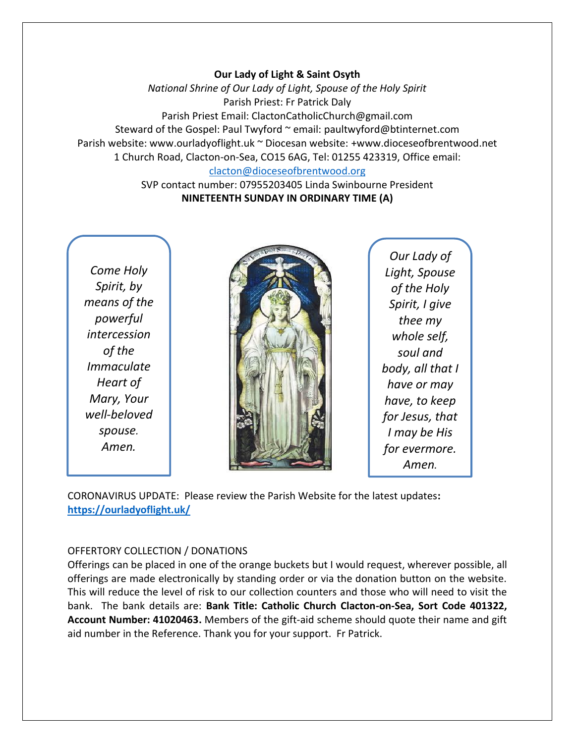### **Our Lady of Light & Saint Osyth**

*National Shrine of Our Lady of Light, Spouse of the Holy Spirit* Parish Priest: Fr Patrick Daly Parish Priest Email: ClactonCatholicChurch@gmail.com Steward of the Gospel: Paul Twyford ~ email: paultwyford@btinternet.com Parish website: www.ourladyoflight.uk ~ Diocesan website: +www.dioceseofbrentwood.net 1 Church Road, Clacton-on-Sea, CO15 6AG, Tel: 01255 423319, Office email: [clacton@dioceseofbrentwood.org](mailto:clacton@dioceseofbrentwood.org)

> SVP contact number: 07955203405 Linda Swinbourne President **NINETEENTH SUNDAY IN ORDINARY TIME (A)**

*Come Holy Spirit, by means of the powerful intercession of the Immaculate Heart of Mary, Your well-beloved spouse. Amen.*



*Our Lady of Light, Spouse of the Holy Spirit, I give thee my whole self, soul and body, all that I have or may have, to keep for Jesus, that I may be His for evermore. Amen.*

CORONAVIRUS UPDATE: Please review the Parish Website for the latest updates**: <https://ourladyoflight.uk/>**

#### OFFERTORY COLLECTION / DONATIONS

Offerings can be placed in one of the orange buckets but I would request, wherever possible, all offerings are made electronically by standing order or via the donation button on the website. This will reduce the level of risk to our collection counters and those who will need to visit the bank. The bank details are: **Bank Title: Catholic Church Clacton-on-Sea, Sort Code 401322, Account Number: 41020463.** Members of the gift-aid scheme should quote their name and gift aid number in the Reference. Thank you for your support. Fr Patrick.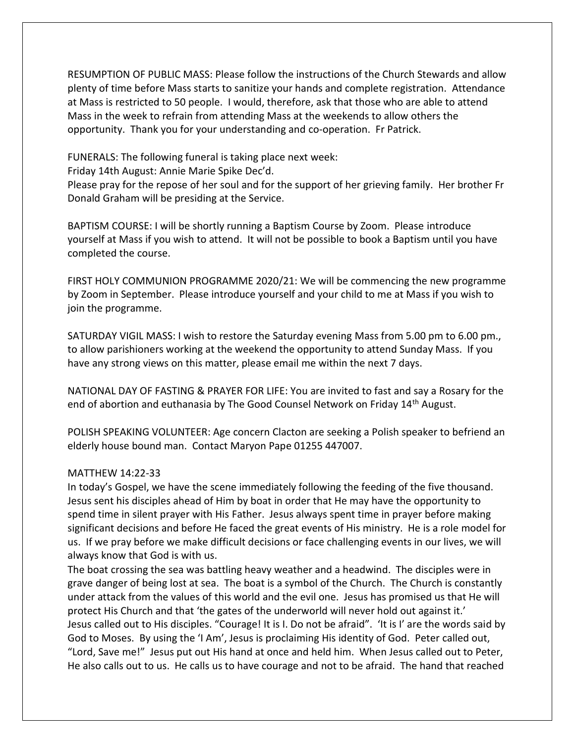RESUMPTION OF PUBLIC MASS: Please follow the instructions of the Church Stewards and allow plenty of time before Mass starts to sanitize your hands and complete registration. Attendance at Mass is restricted to 50 people. I would, therefore, ask that those who are able to attend Mass in the week to refrain from attending Mass at the weekends to allow others the opportunity. Thank you for your understanding and co-operation. Fr Patrick.

FUNERALS: The following funeral is taking place next week:

Friday 14th August: Annie Marie Spike Dec'd.

Please pray for the repose of her soul and for the support of her grieving family. Her brother Fr Donald Graham will be presiding at the Service.

BAPTISM COURSE: I will be shortly running a Baptism Course by Zoom. Please introduce yourself at Mass if you wish to attend. It will not be possible to book a Baptism until you have completed the course.

FIRST HOLY COMMUNION PROGRAMME 2020/21: We will be commencing the new programme by Zoom in September. Please introduce yourself and your child to me at Mass if you wish to join the programme.

SATURDAY VIGIL MASS: I wish to restore the Saturday evening Mass from 5.00 pm to 6.00 pm., to allow parishioners working at the weekend the opportunity to attend Sunday Mass. If you have any strong views on this matter, please email me within the next 7 days.

NATIONAL DAY OF FASTING & PRAYER FOR LIFE: You are invited to fast and say a Rosary for the end of abortion and euthanasia by The Good Counsel Network on Friday 14<sup>th</sup> August.

POLISH SPEAKING VOLUNTEER: Age concern Clacton are seeking a Polish speaker to befriend an elderly house bound man. Contact Maryon Pape 01255 447007.

#### MATTHEW 14:22-33

In today's Gospel, we have the scene immediately following the feeding of the five thousand. Jesus sent his disciples ahead of Him by boat in order that He may have the opportunity to spend time in silent prayer with His Father. Jesus always spent time in prayer before making significant decisions and before He faced the great events of His ministry. He is a role model for us. If we pray before we make difficult decisions or face challenging events in our lives, we will always know that God is with us.

The boat crossing the sea was battling heavy weather and a headwind. The disciples were in grave danger of being lost at sea. The boat is a symbol of the Church. The Church is constantly under attack from the values of this world and the evil one. Jesus has promised us that He will protect His Church and that 'the gates of the underworld will never hold out against it.' Jesus called out to His disciples. "Courage! It is I. Do not be afraid". 'It is I' are the words said by God to Moses. By using the 'I Am', Jesus is proclaiming His identity of God. Peter called out, "Lord, Save me!" Jesus put out His hand at once and held him. When Jesus called out to Peter, He also calls out to us. He calls us to have courage and not to be afraid. The hand that reached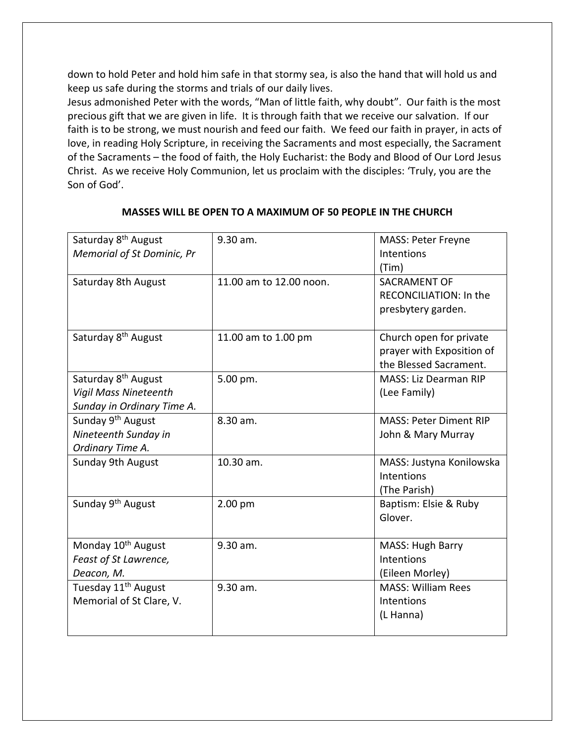down to hold Peter and hold him safe in that stormy sea, is also the hand that will hold us and keep us safe during the storms and trials of our daily lives.

Jesus admonished Peter with the words, "Man of little faith, why doubt". Our faith is the most precious gift that we are given in life. It is through faith that we receive our salvation. If our faith is to be strong, we must nourish and feed our faith. We feed our faith in prayer, in acts of love, in reading Holy Scripture, in receiving the Sacraments and most especially, the Sacrament of the Sacraments – the food of faith, the Holy Eucharist: the Body and Blood of Our Lord Jesus Christ. As we receive Holy Communion, let us proclaim with the disciples: 'Truly, you are the Son of God'.

| Saturday 8 <sup>th</sup> August<br><b>Memorial of St Dominic, Pr</b>                          | 9.30 am.                | <b>MASS: Peter Freyne</b><br>Intentions                                        |
|-----------------------------------------------------------------------------------------------|-------------------------|--------------------------------------------------------------------------------|
| Saturday 8th August                                                                           | 11.00 am to 12.00 noon. | (Tim)<br>SACRAMENT OF<br>RECONCILIATION: In the<br>presbytery garden.          |
| Saturday 8 <sup>th</sup> August                                                               | 11.00 am to 1.00 pm     | Church open for private<br>prayer with Exposition of<br>the Blessed Sacrament. |
| Saturday 8 <sup>th</sup> August<br><b>Vigil Mass Nineteenth</b><br>Sunday in Ordinary Time A. | 5.00 pm.                | MASS: Liz Dearman RIP<br>(Lee Family)                                          |
| Sunday 9 <sup>th</sup> August<br>Nineteenth Sunday in<br>Ordinary Time A.                     | 8.30 am.                | <b>MASS: Peter Diment RIP</b><br>John & Mary Murray                            |
| Sunday 9th August                                                                             | 10.30 am.               | MASS: Justyna Konilowska<br>Intentions<br>(The Parish)                         |
| Sunday 9 <sup>th</sup> August                                                                 | 2.00 pm                 | Baptism: Elsie & Ruby<br>Glover.                                               |
| Monday 10 <sup>th</sup> August<br>Feast of St Lawrence,<br>Deacon, M.                         | 9.30 am.                | MASS: Hugh Barry<br>Intentions<br>(Eileen Morley)                              |
| Tuesday 11 <sup>th</sup> August<br>Memorial of St Clare, V.                                   | 9.30 am.                | <b>MASS: William Rees</b><br>Intentions<br>(L Hanna)                           |

## **MASSES WILL BE OPEN TO A MAXIMUM OF 50 PEOPLE IN THE CHURCH**